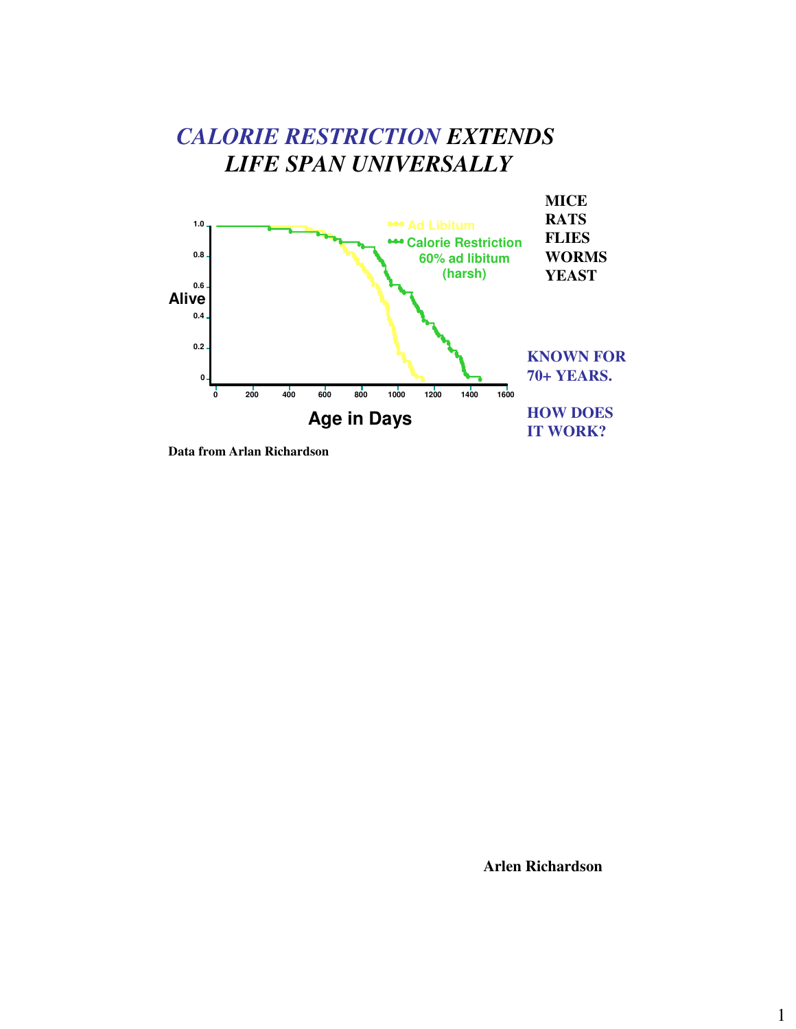

**Data from Arlan Richardson**

**Arlen Richardson**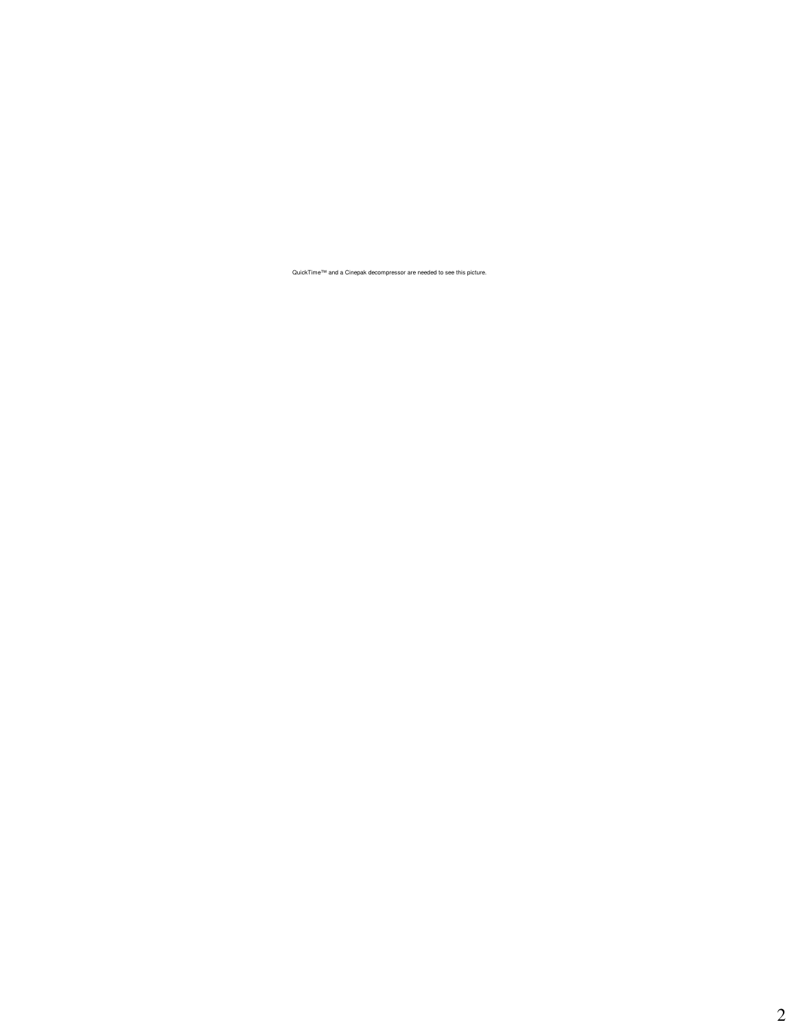QuickTime™ and a Cinepak decompressor are needed to see this picture.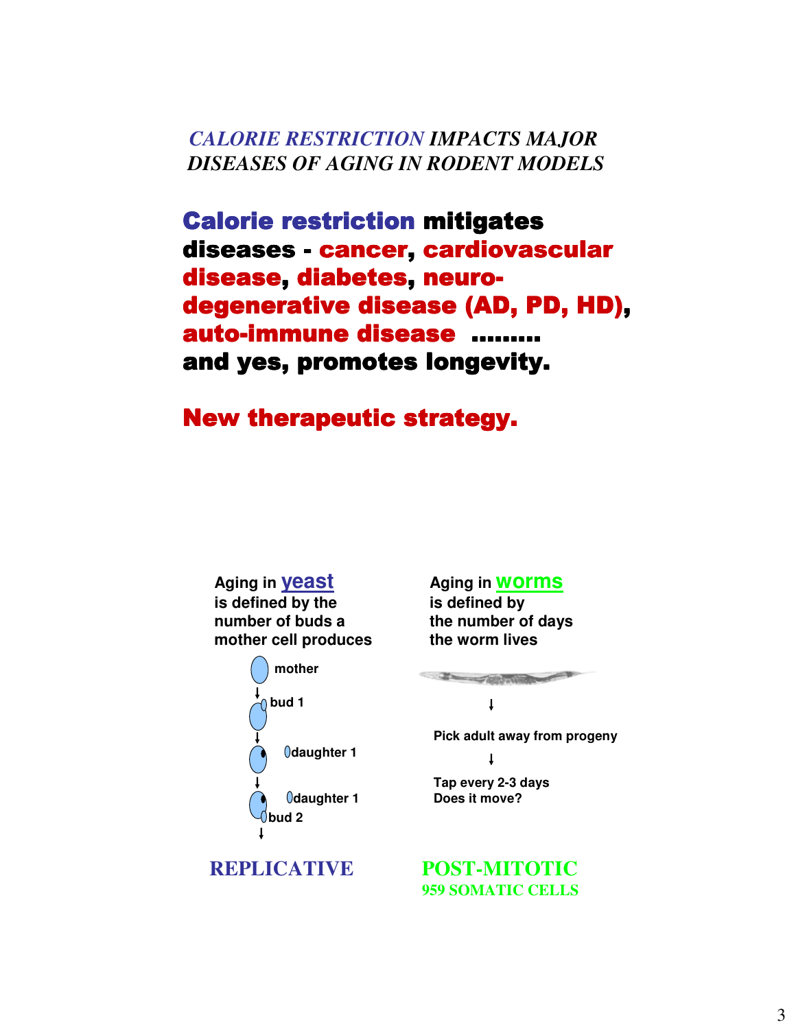*CALORIE RESTRICTION IMPACTS MAJOR DISEASES OF AGING IN RODENT MODELS*

Calorie restriction mitigates diseases - cancer, cardiovascular disease, diabetes, neurodegenerative disease (AD, PD, HD), auto-immune disease ……… and yes, promotes longevity.

New therapeutic strategy.

**Aging in yeast is defined by the number of buds a mother cell produces**



#### **Aging in worms**

**is defined by the number of days the worm lives**

The Company of the Company of the Company of

1

**Pick adult away from progeny**

**Tap every 2-3 days Does it move?**

**REPLICATIVE POST-MITOTIC 959 SOMATIC CELLS**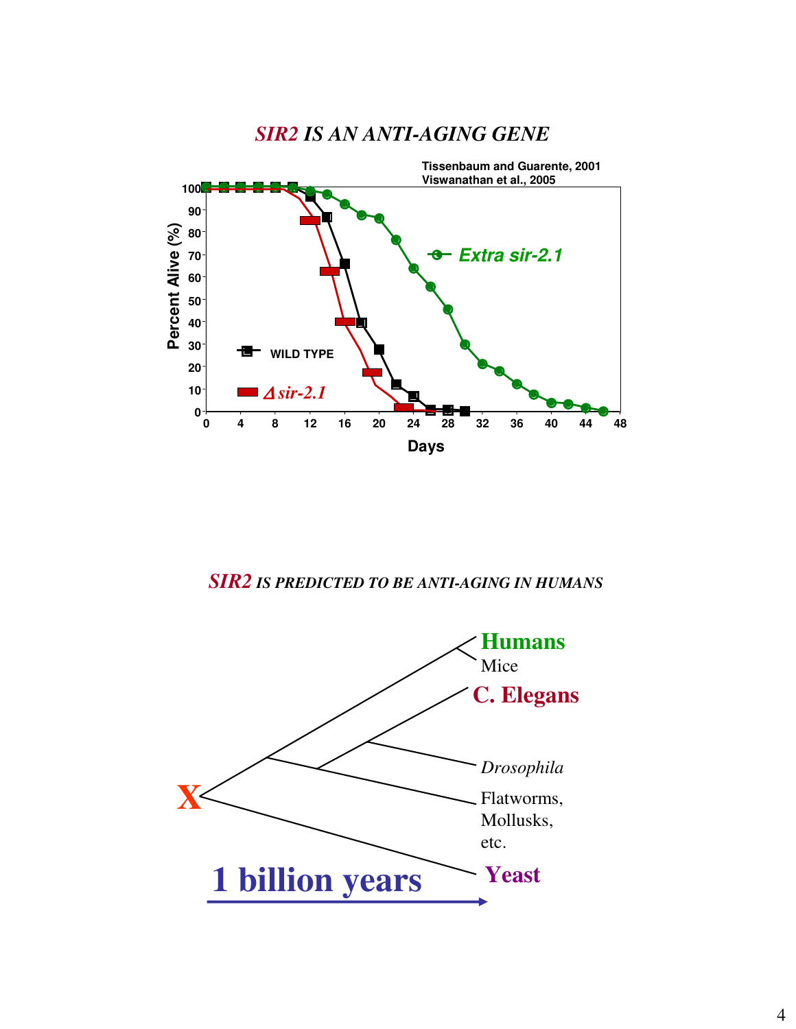

# *SIR2 IS AN ANTI-AGING GENE*

*SIR2 IS PREDICTED TO BE ANTI-AGING IN HUMANS*

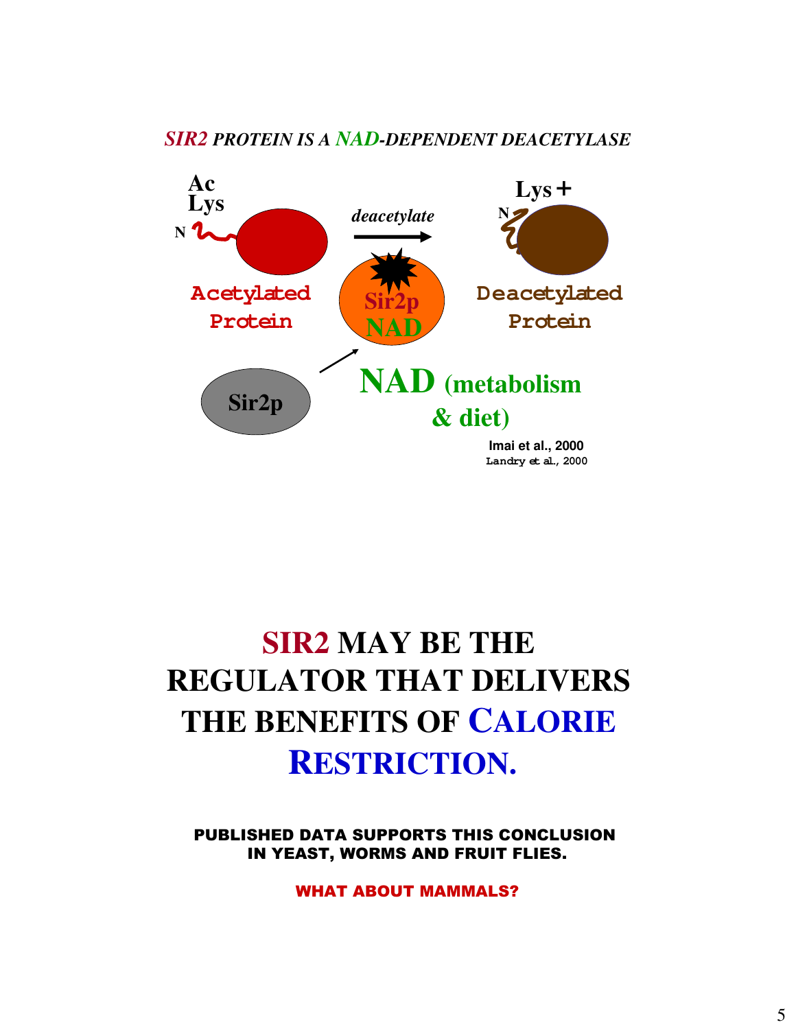### *SIR2 PROTEIN IS A NAD-DEPENDENT DEACETYLASE*



# **SIR2 MAY BE THE REGULATOR THAT DELIVERS THE BENEFITS OF CALORIE RESTRICTION.**

PUBLISHED DATA SUPPORTS THIS CONCLUSION IN YEAST, WORMS AND FRUIT FLIES.

WHAT ABOUT MAMMALS?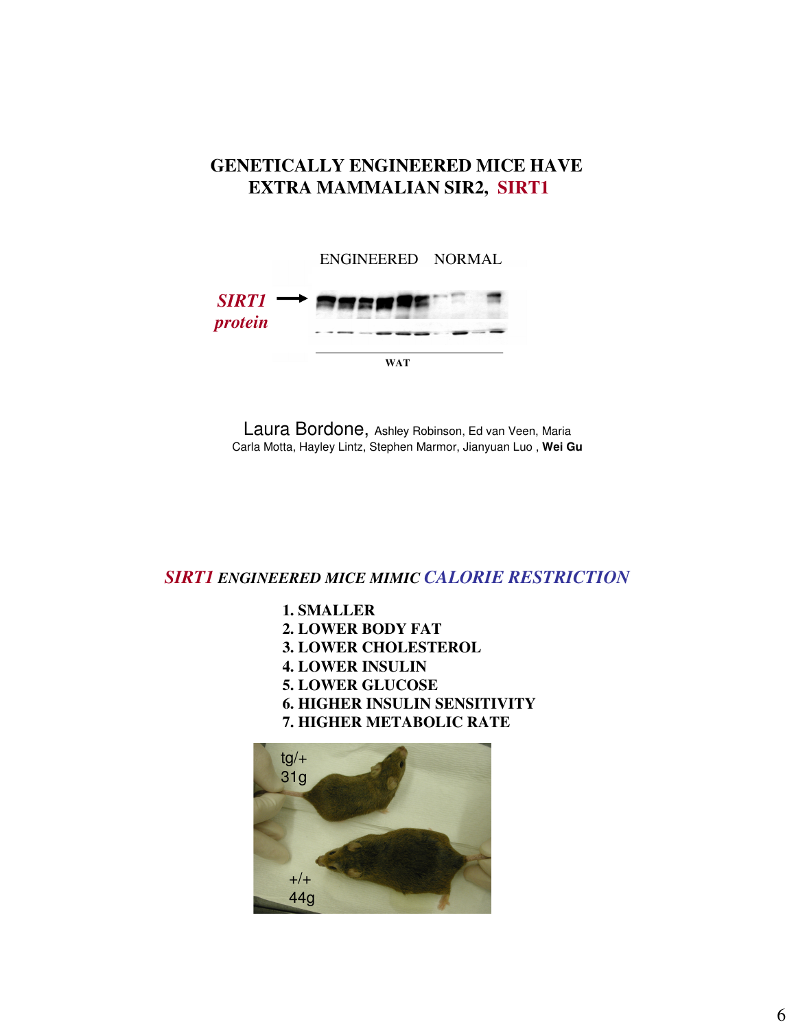### **GENETICALLY ENGINEERED MICE HAVE EXTRA MAMMALIAN SIR2, SIRT1**



Laura Bordone, Ashley Robinson, Ed van Veen, Maria Carla Motta, Hayley Lintz, Stephen Marmor, Jianyuan Luo , **Wei Gu**

*SIRT1 ENGINEERED MICE MIMIC CALORIE RESTRICTION*

**1. SMALLER 2. LOWER BODY FAT 3. LOWER CHOLESTEROL 4. LOWER INSULIN 5. LOWER GLUCOSE 6. HIGHER INSULIN SENSITIVITY 7. HIGHER METABOLIC RATE**

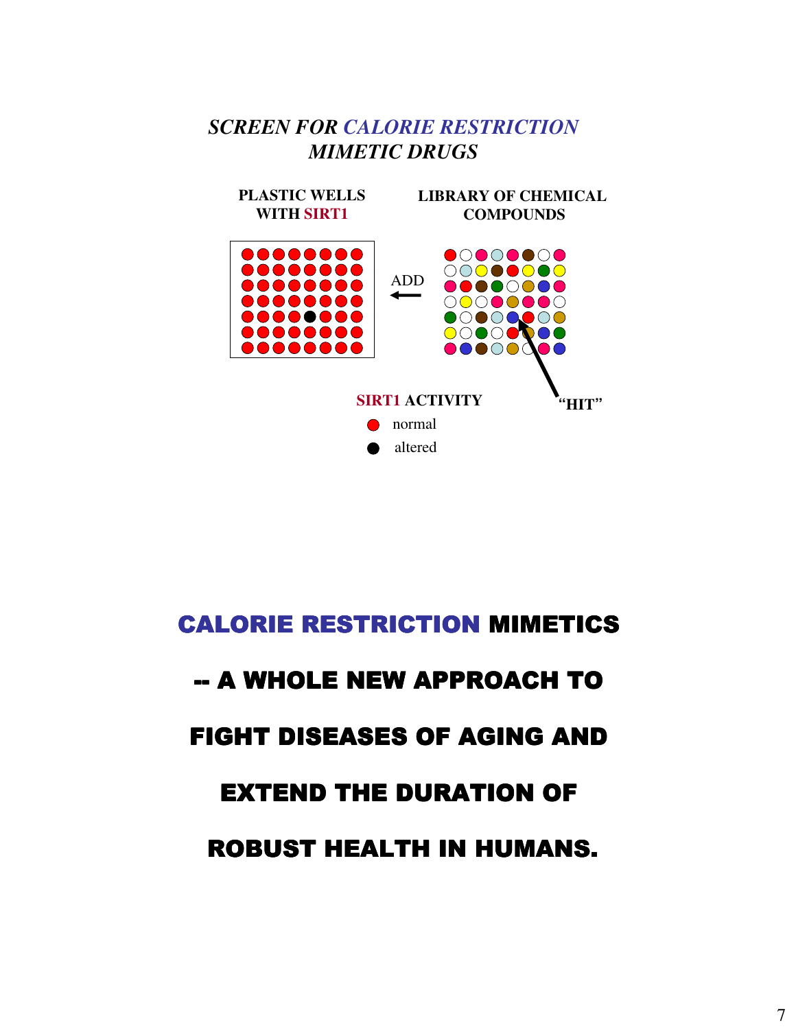# *SCREEN FOR CALORIE RESTRICTION MIMETIC DRUGS*



# CALORIE RESTRICTION MIMETICS

# -- A WHOLE NEW APPROACH TO

# FIGHT DISEASES OF AGING AND

# **EXTEND THE DURATION OF**

# ROBUST HEALTH IN HUMANS.